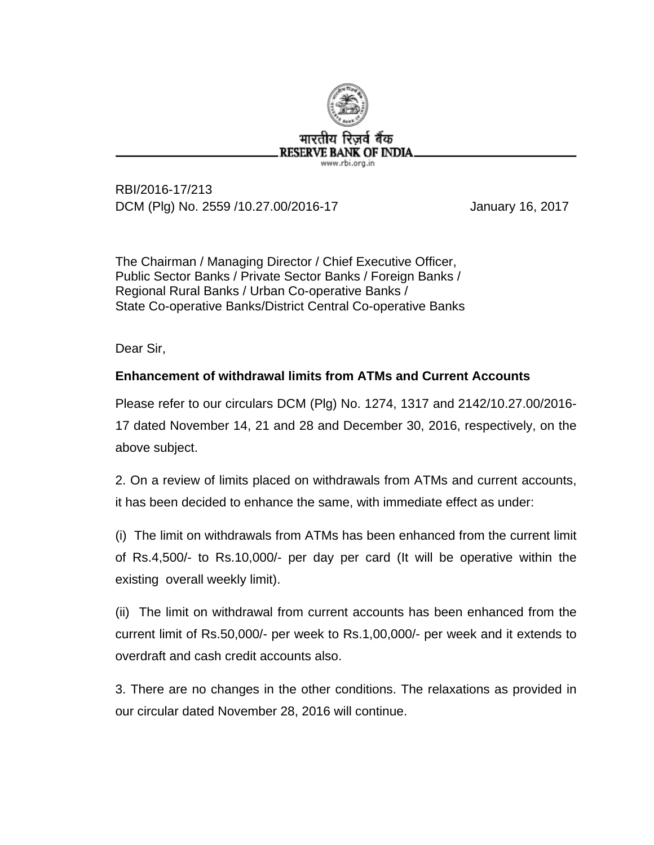

RBI/2016-17/213 DCM (Plg) No. 2559 /10.27.00/2016-17 January 16, 2017

The Chairman / Managing Director / Chief Executive Officer, Public Sector Banks / Private Sector Banks / Foreign Banks / Regional Rural Banks / Urban Co-operative Banks / State Co-operative Banks/District Central Co-operative Banks

Dear Sir,

## **Enhancement of withdrawal limits from ATMs and Current Accounts**

Please refer to our circulars DCM (Plg) No. 1274, 1317 and 2142/10.27.00/2016- 17 dated November 14, 21 and 28 and December 30, 2016, respectively, on the above subject.

2. On a review of limits placed on withdrawals from ATMs and current accounts, it has been decided to enhance the same, with immediate effect as under:

(i) The limit on withdrawals from ATMs has been enhanced from the current limit of Rs.4,500/- to Rs.10,000/- per day per card (It will be operative within the existing overall weekly limit).

(ii) The limit on withdrawal from current accounts has been enhanced from the current limit of Rs.50,000/- per week to Rs.1,00,000/- per week and it extends to overdraft and cash credit accounts also.

3. There are no changes in the other conditions. The relaxations as provided in our circular dated November 28, 2016 will continue.